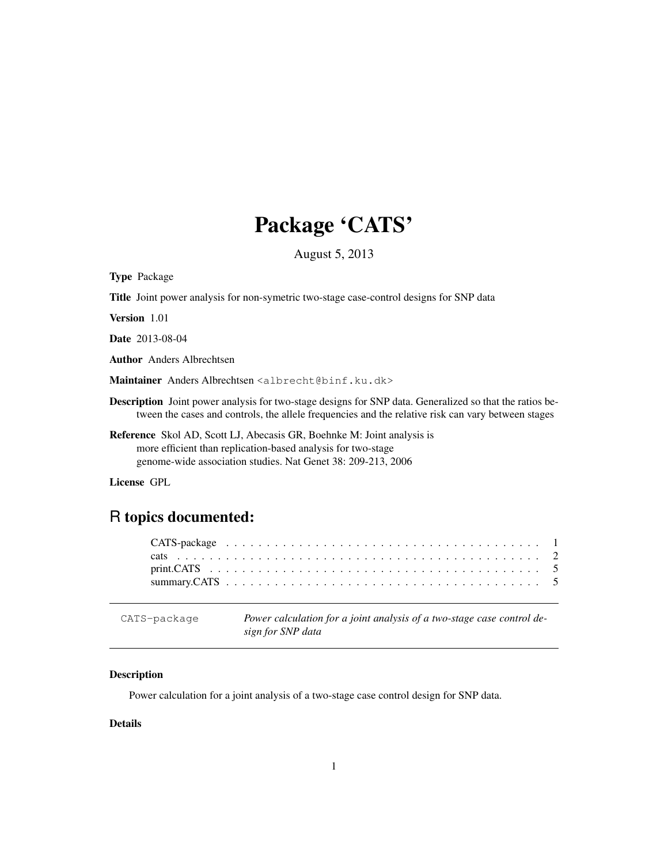# Package 'CATS'

August 5, 2013

Type Package

Title Joint power analysis for non-symetric two-stage case-control designs for SNP data

Version 1.01

Date 2013-08-04

Author Anders Albrechtsen

Maintainer Anders Albrechtsen <albrecht@binf.ku.dk>

Description Joint power analysis for two-stage designs for SNP data. Generalized so that the ratios between the cases and controls, the allele frequencies and the relative risk can vary between stages

Reference Skol AD, Scott LJ, Abecasis GR, Boehnke M: Joint analysis is more efficient than replication-based analysis for two-stage genome-wide association studies. Nat Genet 38: 209-213, 2006

License GPL

# R topics documented:

CATS-package *Power calculation for a joint analysis of a two-stage case control design for SNP data*

# Description

Power calculation for a joint analysis of a two-stage case control design for SNP data.

# Details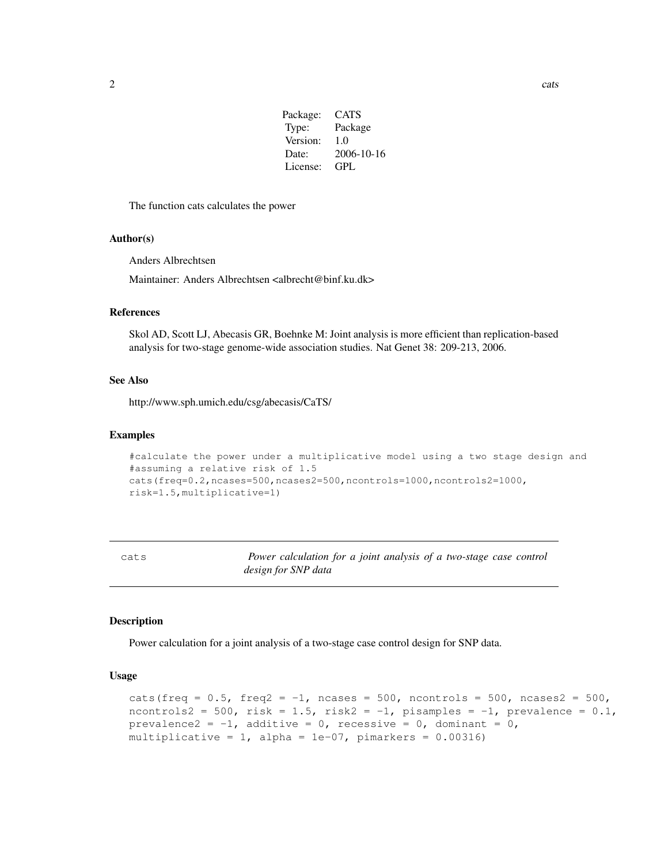| Package: | CATS       |
|----------|------------|
| Type:    | Package    |
| Version: | 1.0        |
| Date:    | 2006-10-16 |
| License: | GPL.       |

The function cats calculates the power

# Author(s)

Anders Albrechtsen

Maintainer: Anders Albrechtsen <albrecht@binf.ku.dk>

# References

Skol AD, Scott LJ, Abecasis GR, Boehnke M: Joint analysis is more efficient than replication-based analysis for two-stage genome-wide association studies. Nat Genet 38: 209-213, 2006.

#### See Also

http://www.sph.umich.edu/csg/abecasis/CaTS/

# Examples

```
#calculate the power under a multiplicative model using a two stage design and
#assuming a relative risk of 1.5
cats(freq=0.2,ncases=500,ncases2=500,ncontrols=1000,ncontrols2=1000,
risk=1.5,multiplicative=1)
```
cats *Power calculation for a joint analysis of a two-stage case control design for SNP data*

#### Description

Power calculation for a joint analysis of a two-stage case control design for SNP data.

# Usage

```
cats(freq = 0.5, freq2 = -1, ncases = 500, ncontrols = 500, ncases2 = 500,
ncontrols2 = 500, risk = 1.5, risk2 = -1, pisamples = -1, prevalence = 0.1,
prevalence2 = -1, additive = 0, recessive = 0, dominant = 0,
multiplicative = 1, alpha = 1e-07, pimarkers = 0.00316)
```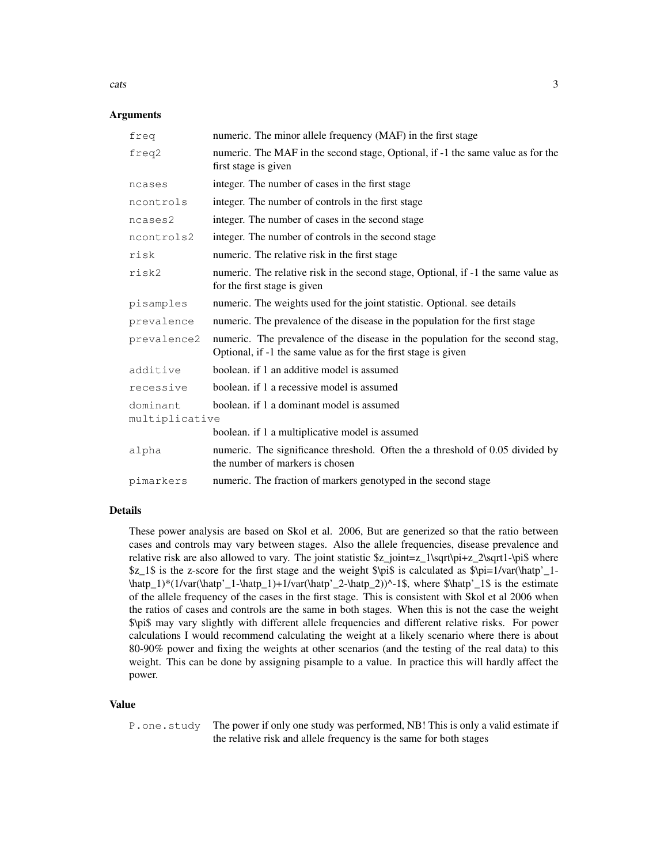# **Arguments**

| freq                       | numeric. The minor allele frequency (MAF) in the first stage                                                                                    |
|----------------------------|-------------------------------------------------------------------------------------------------------------------------------------------------|
| freq2                      | numeric. The MAF in the second stage, Optional, if -1 the same value as for the<br>first stage is given                                         |
| ncases                     | integer. The number of cases in the first stage                                                                                                 |
| ncontrols                  | integer. The number of controls in the first stage                                                                                              |
| ncases2                    | integer. The number of cases in the second stage                                                                                                |
| ncontrols2                 | integer. The number of controls in the second stage                                                                                             |
| risk                       | numeric. The relative risk in the first stage                                                                                                   |
| risk2                      | numeric. The relative risk in the second stage, Optional, if -1 the same value as<br>for the first stage is given                               |
| pisamples                  | numeric. The weights used for the joint statistic. Optional. see details                                                                        |
| prevalence                 | numeric. The prevalence of the disease in the population for the first stage                                                                    |
| prevalence2                | numeric. The prevalence of the disease in the population for the second stag,<br>Optional, if -1 the same value as for the first stage is given |
| additive                   | boolean, if 1 an additive model is assumed                                                                                                      |
| recessive                  | boolean, if 1 a recessive model is assumed                                                                                                      |
| dominant<br>multiplicative | boolean. if 1 a dominant model is assumed                                                                                                       |
|                            | boolean. if 1 a multiplicative model is assumed                                                                                                 |
| alpha                      | numeric. The significance threshold. Often the a threshold of 0.05 divided by<br>the number of markers is chosen                                |
| pimarkers                  | numeric. The fraction of markers genotyped in the second stage                                                                                  |
|                            |                                                                                                                                                 |

# Details

These power analysis are based on Skol et al. 2006, But are generized so that the ratio between cases and controls may vary between stages. Also the allele frequencies, disease prevalence and relative risk are also allowed to vary. The joint statistic  $z_joint = z_1\sqrt{t} + z_2\sqrt{t}$  where  $$z_1$$  is the z-score for the first stage and the weight  $\pi$$  is calculated as  $\pi/2-1$ - $\hat{p_1}$  \hatp' 1, \hatp' 1, \hatp' 1)+1/var(\hatp' 2, \hatp' 2) $\cdot$ -1\$, where \$\hatp' 1\$ is the estimate of the allele frequency of the cases in the first stage. This is consistent with Skol et al 2006 when the ratios of cases and controls are the same in both stages. When this is not the case the weight \$\pi\$ may vary slightly with different allele frequencies and different relative risks. For power calculations I would recommend calculating the weight at a likely scenario where there is about 80-90% power and fixing the weights at other scenarios (and the testing of the real data) to this weight. This can be done by assigning pisample to a value. In practice this will hardly affect the power.

#### Value

P.one.study The power if only one study was performed, NB! This is only a valid estimate if the relative risk and allele frequency is the same for both stages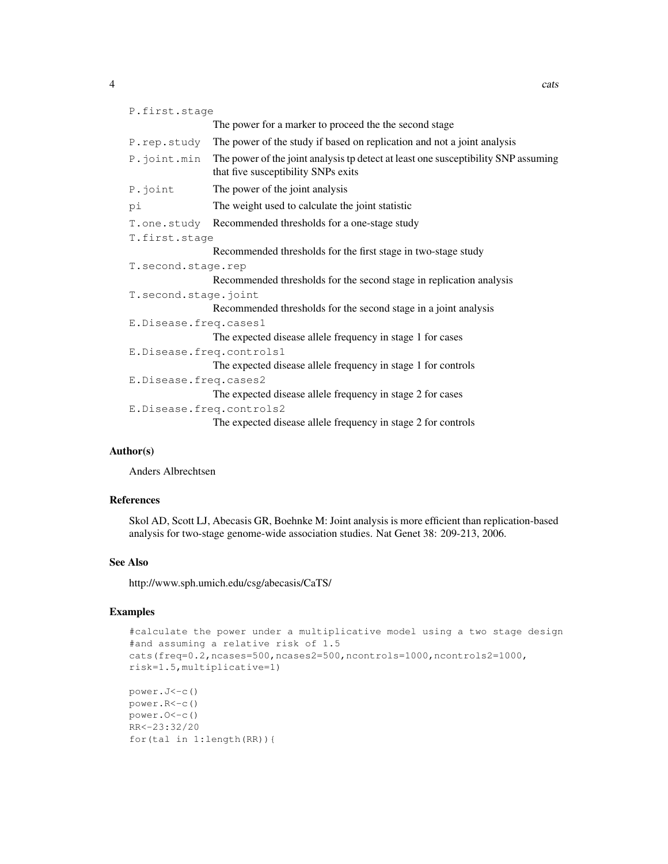| P.first.stage |                                                                                                                                          |
|---------------|------------------------------------------------------------------------------------------------------------------------------------------|
|               | The power for a marker to proceed the the second stage                                                                                   |
|               | P. rep. study The power of the study if based on replication and not a joint analysis                                                    |
|               | P. joint . min The power of the joint analysis tp detect at least one susceptibility SNP assuming<br>that five susceptibility SNPs exits |

P.joint The power of the joint analysis

```
pi The weight used to calculate the joint statistic
```

```
T.one.study Recommended thresholds for a one-stage study
```

```
T.first.stage
```
Recommended thresholds for the first stage in two-stage study

```
T.second.stage.rep
```
Recommended thresholds for the second stage in replication analysis

```
T.second.stage.joint
```
Recommended thresholds for the second stage in a joint analysis

```
E.Disease.freq.cases1
```
The expected disease allele frequency in stage 1 for cases

```
E.Disease.freq.controls1
```
The expected disease allele frequency in stage 1 for controls

```
E.Disease.freq.cases2
```
The expected disease allele frequency in stage 2 for cases

```
E.Disease.freq.controls2
```
The expected disease allele frequency in stage 2 for controls

# Author(s)

Anders Albrechtsen

# References

Skol AD, Scott LJ, Abecasis GR, Boehnke M: Joint analysis is more efficient than replication-based analysis for two-stage genome-wide association studies. Nat Genet 38: 209-213, 2006.

# See Also

http://www.sph.umich.edu/csg/abecasis/CaTS/

# Examples

```
#calculate the power under a multiplicative model using a two stage design
#and assuming a relative risk of 1.5
cats(freq=0.2,ncases=500,ncases2=500,ncontrols=1000,ncontrols2=1000,
risk=1.5,multiplicative=1)
power.J<-c()
power.R<-c()
power.O<-c()
RR<-23:32/20
for(tal in 1:length(RR)){
```
4 cats and the cats of the cats of the cats of the cats of the cats of the cats of the cats of the cats of the cats of the cats of the cats of the cats of the cats of the cats of the cats of the cats of the cats of the cat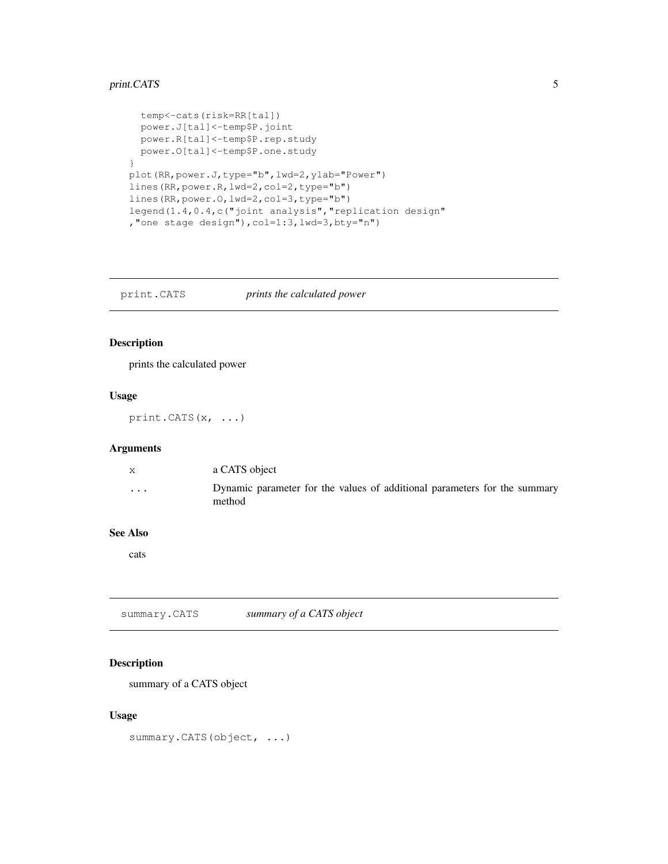# print.CATS 5

```
temp<-cats(risk=RR[tal])
  power.J[tal]<-temp$P.joint
 power.R[tal]<-temp$P.rep.study
 power.O[tal]<-temp$P.one.study
}
plot(RR,power.J,type="b",lwd=2,ylab="Power")
lines(RR,power.R,lwd=2,col=2,type="b")
lines(RR,power.O,lwd=2,col=3,type="b")
legend(1.4,0.4,c("joint analysis","replication design"
,"one stage design"),col=1:3,lwd=3,bty="n")
```
print.CATS *prints the calculated power*

# Description

prints the calculated power

# Usage

print.CATS(x, ...)

# Arguments

| X | a CATS object                                                                       |
|---|-------------------------------------------------------------------------------------|
| . | Dynamic parameter for the values of additional parameters for the summary<br>method |

### See Also

cats

summary.CATS *summary of a CATS object*

# Description

summary of a CATS object

# Usage

summary. CATS (object, ...)